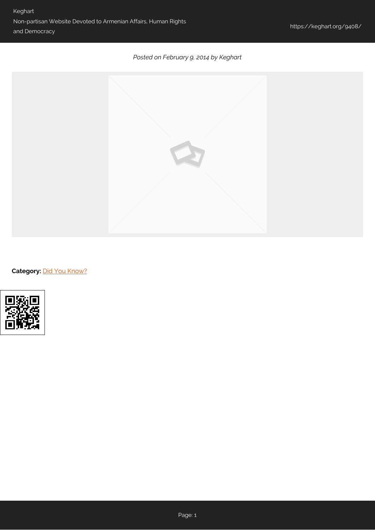## *Posted on February 9, 2014 by Keghart*



**Category: [Did You Know?](https://keghart.org/category/did-you-know/)**